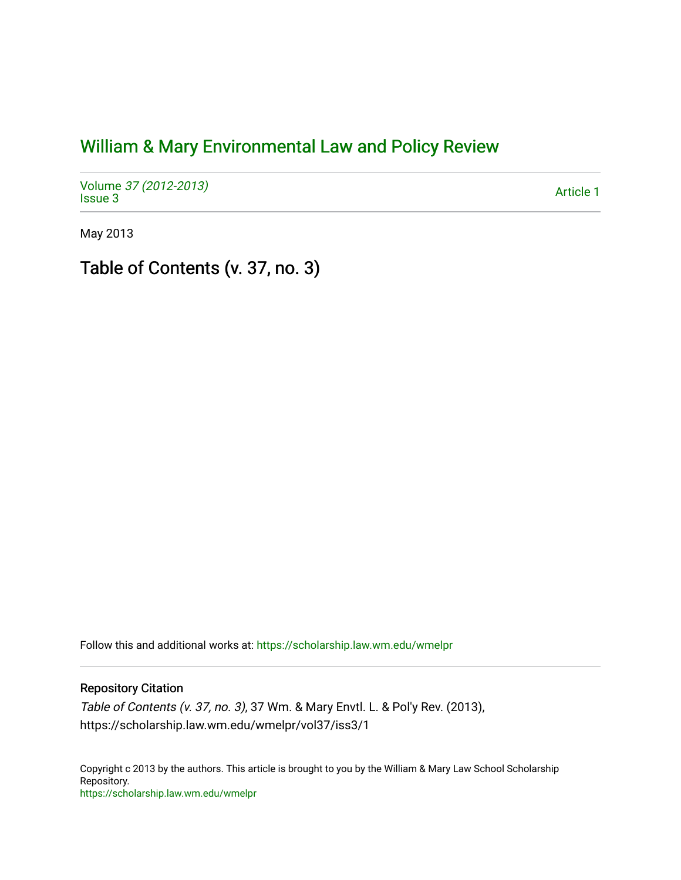## [William & Mary Environmental Law and Policy Review](https://scholarship.law.wm.edu/wmelpr)

Volume [37 \(2012-2013\)](https://scholarship.law.wm.edu/wmelpr/vol37)  volume 37 (2012-2013)<br>[Issue 3](https://scholarship.law.wm.edu/wmelpr/vol37/iss3) Article 1

May 2013

Table of Contents (v. 37, no. 3)

Follow this and additional works at: [https://scholarship.law.wm.edu/wmelpr](https://scholarship.law.wm.edu/wmelpr?utm_source=scholarship.law.wm.edu%2Fwmelpr%2Fvol37%2Fiss3%2F1&utm_medium=PDF&utm_campaign=PDFCoverPages)

## Repository Citation

Table of Contents (v. 37, no. 3), 37 Wm. & Mary Envtl. L. & Pol'y Rev. (2013), https://scholarship.law.wm.edu/wmelpr/vol37/iss3/1

Copyright c 2013 by the authors. This article is brought to you by the William & Mary Law School Scholarship Repository. <https://scholarship.law.wm.edu/wmelpr>